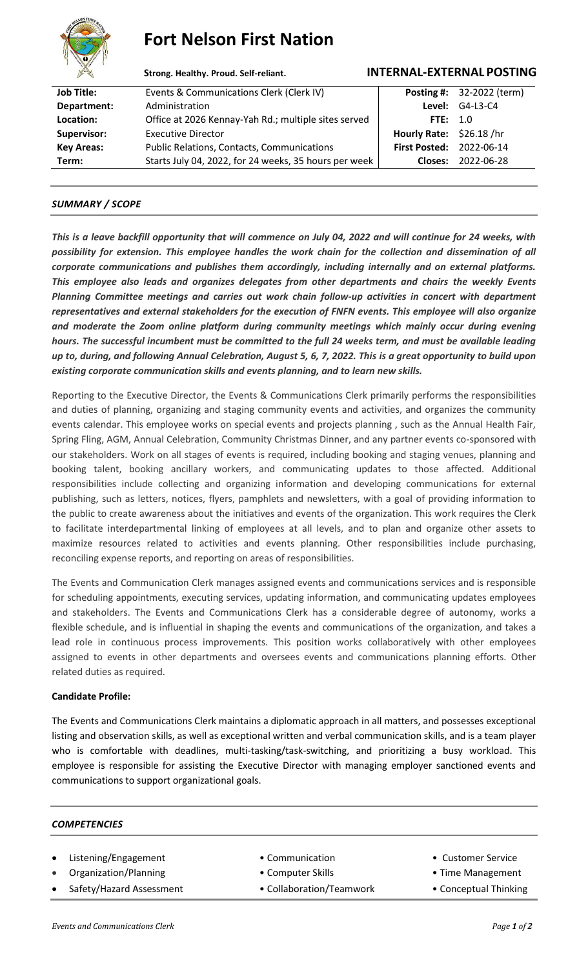

# **Fort Nelson First Nation**

# **Strong. Healthy. Proud. Self-reliant. INTERNAL-EXTERNAL POSTING**

| <b>Job Title:</b>  | Events & Communications Clerk (Clerk IV)              |                                 | <b>Posting #:</b> 32-2022 (term) |
|--------------------|-------------------------------------------------------|---------------------------------|----------------------------------|
| Department:        | Administration                                        |                                 | <b>Level: G4-L3-C4</b>           |
| Location:          | Office at 2026 Kennay-Yah Rd.; multiple sites served  | FTE: $1.0$                      |                                  |
| <b>Supervisor:</b> | <b>Executive Director</b>                             | Hourly Rate: \$26.18 /hr        |                                  |
| <b>Key Areas:</b>  | <b>Public Relations, Contacts, Communications</b>     | <b>First Posted: 2022-06-14</b> |                                  |
| Term:              | Starts July 04, 2022, for 24 weeks, 35 hours per week |                                 | Closes: 2022-06-28               |
|                    |                                                       |                                 |                                  |

# *SUMMARY / SCOPE*

*This is a leave backfill opportunity that will commence on July 04, 2022 and will continue for 24 weeks, with possibility for extension. This employee handles the work chain for the collection and dissemination of all corporate communications and publishes them accordingly, including internally and on external platforms. This employee also leads and organizes delegates from other departments and chairs the weekly Events Planning Committee meetings and carries out work chain follow-up activities in concert with department representatives and external stakeholders for the execution of FNFN events. This employee will also organize and moderate the Zoom online platform during community meetings which mainly occur during evening hours. The successful incumbent must be committed to the full 24 weeks term, and must be available leading up to, during, and following Annual Celebration, August 5, 6, 7, 2022. This is a great opportunity to build upon existing corporate communication skills and events planning, and to learn new skills.* 

Reporting to the Executive Director, the Events & Communications Clerk primarily performs the responsibilities and duties of planning, organizing and staging community events and activities, and organizes the community events calendar. This employee works on special events and projects planning , such as the Annual Health Fair, Spring Fling, AGM, Annual Celebration, Community Christmas Dinner, and any partner events co-sponsored with our stakeholders. Work on all stages of events is required, including booking and staging venues, planning and booking talent, booking ancillary workers, and communicating updates to those affected. Additional responsibilities include collecting and organizing information and developing communications for external publishing, such as letters, notices, flyers, pamphlets and newsletters, with a goal of providing information to the public to create awareness about the initiatives and events of the organization. This work requires the Clerk to facilitate interdepartmental linking of employees at all levels, and to plan and organize other assets to maximize resources related to activities and events planning. Other responsibilities include purchasing, reconciling expense reports, and reporting on areas of responsibilities.

The Events and Communication Clerk manages assigned events and communications services and is responsible for scheduling appointments, executing services, updating information, and communicating updates employees and stakeholders. The Events and Communications Clerk has a considerable degree of autonomy, works a flexible schedule, and is influential in shaping the events and communications of the organization, and takes a lead role in continuous process improvements. This position works collaboratively with other employees assigned to events in other departments and oversees events and communications planning efforts. Other related duties as required.

## **Candidate Profile:**

The Events and Communications Clerk maintains a diplomatic approach in all matters, and possesses exceptional listing and observation skills, as well as exceptional written and verbal communication skills, and is a team player who is comfortable with deadlines, multi-tasking/task-switching, and prioritizing a busy workload. This employee is responsible for assisting the Executive Director with managing employer sanctioned events and communications to support organizational goals.

#### *COMPETENCIES*

- Listening/Engagement Communication Communication Customer Service
- Organization/Planning  **Computer Skills** Time Management
- Safety/Hazard Assessment Collaboration/Teamwork Conceptual Thinking
- 
- -
- 
- -